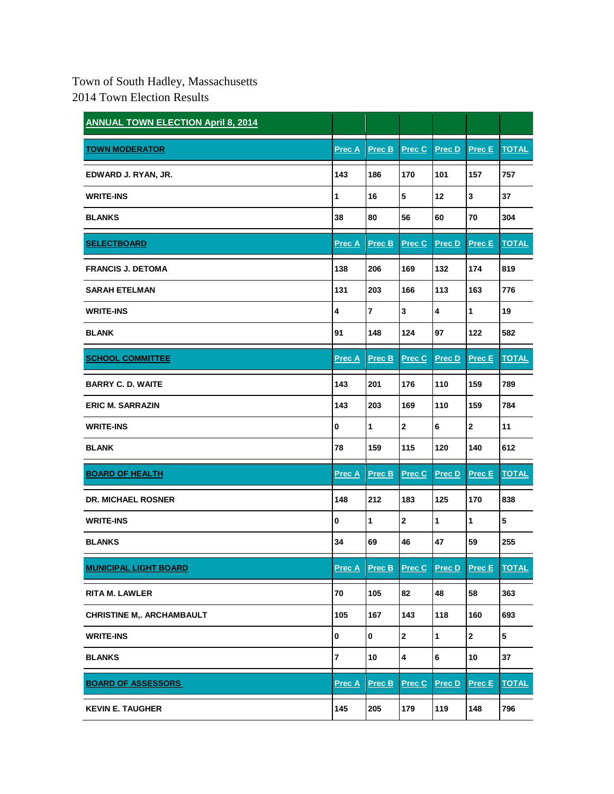## Town of South Hadley, Massachusetts 2014 Town Election Results

| <b>ANNUAL TOWN ELECTION April 8, 2014</b> |                |                |                         |                         |               |              |
|-------------------------------------------|----------------|----------------|-------------------------|-------------------------|---------------|--------------|
| <b>TOWN MODERATOR</b>                     | <b>Prec A</b>  | Prec B         | <b>Prec C</b>           | Prec D                  | Prec E        | <b>TOTAL</b> |
| EDWARD J. RYAN, JR.                       | 143            | 186            | 170                     | 101                     | 157           | 757          |
| <b>WRITE-INS</b>                          | $\mathbf{1}$   | 16             | $\overline{\mathbf{5}}$ | 12                      | 3             | 37           |
| <b>BLANKS</b>                             | 38             | 80             | 56                      | 60                      | 70            | 304          |
| <b>SELECTBOARD</b>                        | <u>Prec A</u>  | Prec B         | Prec C                  | <b>Prec D</b>           | <b>Prec E</b> | <b>TOTAL</b> |
| <b>FRANCIS J. DETOMA</b>                  | 138            | 206            | 169                     | 132                     | 174           | 819          |
| <b>SARAH ETELMAN</b>                      | 131            | 203            | 166                     | 113                     | 163           | 776          |
| <b>WRITE-INS</b>                          | 4              | $\overline{7}$ | $\mathbf 3$             | $\overline{\mathbf{4}}$ | 1             | 19           |
| <b>BLANK</b>                              | 91             | 148            | 124                     | 97                      | 122           | 582          |
| <b>SCHOOL COMMITTEE</b>                   | <b>Prec A</b>  | Prec B         | Prec C                  | <b>Prec D</b>           | <b>Prec E</b> | <b>TOTAL</b> |
| <b>BARRY C. D. WAITE</b>                  | 143            | 201            | 176                     | 110                     | 159           | 789          |
| <b>ERIC M. SARRAZIN</b>                   | 143            | 203            | 169                     | 110                     | 159           | 784          |
| <b>WRITE-INS</b>                          | $\mathbf 0$    | 1              | $\mathbf{2}$            | 6                       | $\mathbf{2}$  | 11           |
| <b>BLANK</b>                              | 78             | 159            | 115                     | 120                     | 140           | 612          |
| <b>BOARD OF HEALTH</b>                    | <b>Prec A</b>  | Prec B         | Prec C                  | Prec D                  | Prec E        | <b>TOTAL</b> |
| <b>DR. MICHAEL ROSNER</b>                 | 148            | 212            | 183                     | 125                     | 170           | 838          |
| <b>WRITE-INS</b>                          | $\bf{0}$       | 1              | $\mathbf{2}$            | 1                       | $\mathbf{1}$  | 5            |
| <b>BLANKS</b>                             | 34             | 69             | 46                      | 47                      | 59            | 255          |
| <b>MUNICIPAL LIGHT BOARD</b>              | Prec A         | Prec B         | Prec C                  | Prec D                  | Prec E        | <b>TOTAL</b> |
| <b>RITA M. LAWLER</b>                     | ${\bf 70}$     | 105            | 82                      | 48                      | 58            | 363          |
| <b>CHRISTINE M,. ARCHAMBAULT</b>          | 105            | 167            | 143                     | 118                     | 160           | 693          |
| <b>WRITE-INS</b>                          | 0              | $\bf{0}$       | $\mathbf 2$             | $\mathbf{1}$            | $\mathbf{2}$  | 5            |
| <b>BLANKS</b>                             | $\overline{7}$ | 10             | 4                       | 6                       | 10            | 37           |
| <b>BOARD OF ASSESSORS</b>                 | <b>Prec A</b>  | Prec B         | Prec C                  | Prec D                  | Prec E        | <b>TOTAL</b> |
| <b>KEVIN E. TAUGHER</b>                   | 145            | 205            | 179                     | 119                     | 148           | 796          |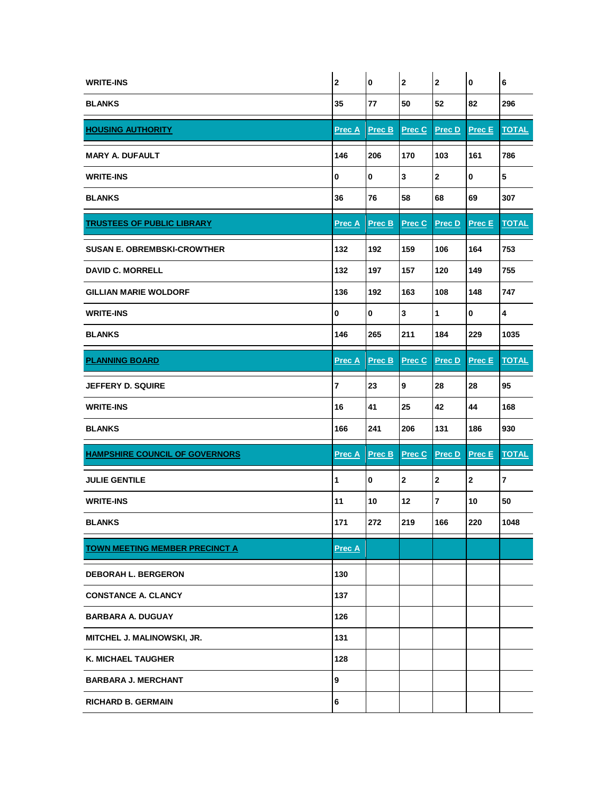| <b>WRITE-INS</b>                      | $\bf 2$                 | 0            | $\mathbf{2}$  | $\mathbf{2}$   | $\pmb{0}$     | 6                       |
|---------------------------------------|-------------------------|--------------|---------------|----------------|---------------|-------------------------|
| <b>BLANKS</b>                         | 35                      | 77           | 50            | 52             | 82            | 296                     |
| <b>HOUSING AUTHORITY</b>              | <b>Prec A</b>           | Prec B       | Prec C        | <b>Prec D</b>  | <b>Prec E</b> | <b>TOTAL</b>            |
| <b>MARY A. DUFAULT</b>                | 146                     | 206          | 170           | 103            | 161           | 786                     |
| <b>WRITE-INS</b>                      | $\bf{0}$                | $\mathbf{0}$ | 3             | $\mathbf 2$    | 0             | ${\bf 5}$               |
| <b>BLANKS</b>                         | 36                      | 76           | 58            | 68             | 69            | 307                     |
| <b>TRUSTEES OF PUBLIC LIBRARY</b>     | <b>Prec A</b>           | Prec B       | Prec C        | Prec D         | Prec E        | <b>TOTAL</b>            |
| <b>SUSAN E. OBREMBSKI-CROWTHER</b>    | 132                     | 192          | 159           | 106            | 164           | 753                     |
| <b>DAVID C. MORRELL</b>               | 132                     | 197          | 157           | 120            | 149           | 755                     |
| <b>GILLIAN MARIE WOLDORF</b>          | 136                     | 192          | 163           | 108            | 148           | 747                     |
| <b>WRITE-INS</b>                      | $\mathbf 0$             | $\bf{0}$     | 3             | $\mathbf{1}$   | $\mathbf 0$   | 4                       |
| <b>BLANKS</b>                         | 146                     | 265          | 211           | 184            | 229           | 1035                    |
| <b>PLANNING BOARD</b>                 | <b>Prec A</b>           | Prec B       | <b>Prec C</b> | Prec D         | Prec E        | <b>TOTAL</b>            |
| <b>JEFFERY D. SQUIRE</b>              | $\overline{\mathbf{r}}$ | 23           | 9             | 28             | 28            | 95                      |
| <b>WRITE-INS</b>                      | 16                      | 41           | 25            | 42             | 44            | 168                     |
| <b>BLANKS</b>                         | 166                     | 241          | 206           | 131            | 186           | 930                     |
| <b>HAMPSHIRE COUNCIL OF GOVERNORS</b> | <u>Prec A</u>           | Prec B       | Prec C        | Prec D         | Prec E        | <b>TOTAL</b>            |
| <b>JULIE GENTILE</b>                  | 1                       | $\mathbf 0$  | $\mathbf{2}$  | $\mathbf{2}$   | $\mathbf{2}$  | $\overline{\mathbf{r}}$ |
| <b>WRITE-INS</b>                      | 11                      | 10           | 12            | $\overline{7}$ | 10            | 50                      |
| <b>BLANKS</b>                         | 171                     | 272          | 219           | 166            | 220           | 1048                    |
| <b>TOWN MEETING MEMBER PRECINCT A</b> |                         |              |               |                |               |                         |
|                                       | <b>Prec A</b>           |              |               |                |               |                         |
| <b>DEBORAH L. BERGERON</b>            | 130                     |              |               |                |               |                         |
| <b>CONSTANCE A. CLANCY</b>            | 137                     |              |               |                |               |                         |
| <b>BARBARA A. DUGUAY</b>              | 126                     |              |               |                |               |                         |
| MITCHEL J. MALINOWSKI, JR.            | 131                     |              |               |                |               |                         |
| <b>K. MICHAEL TAUGHER</b>             | 128                     |              |               |                |               |                         |
| <b>BARBARA J. MERCHANT</b>            | 9                       |              |               |                |               |                         |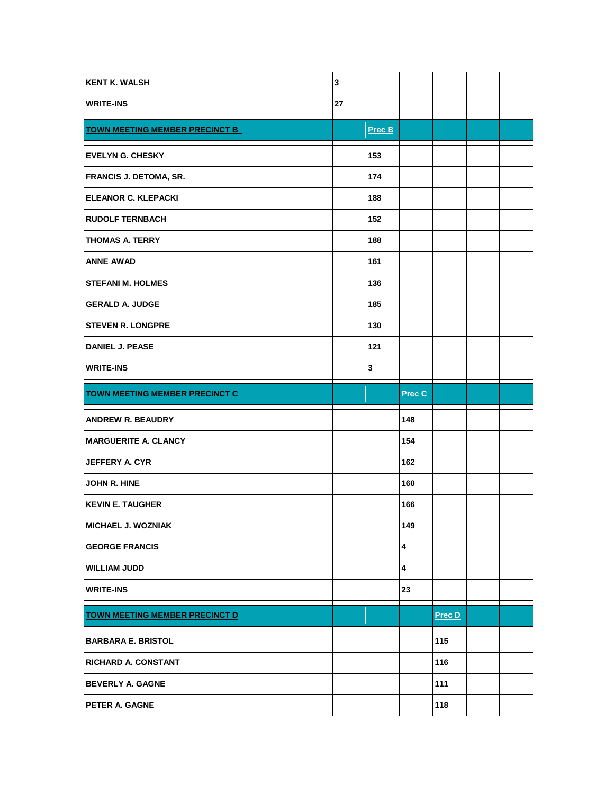| <b>KENT K. WALSH</b>                  | $\mathbf 3$ |             |        |               |  |
|---------------------------------------|-------------|-------------|--------|---------------|--|
| <b>WRITE-INS</b>                      | 27          |             |        |               |  |
| <b>TOWN MEETING MEMBER PRECINCT B</b> |             | Prec B      |        |               |  |
| <b>EVELYN G. CHESKY</b>               |             | 153         |        |               |  |
| <b>FRANCIS J. DETOMA, SR.</b>         |             | 174         |        |               |  |
| <b>ELEANOR C. KLEPACKI</b>            |             | 188         |        |               |  |
| <b>RUDOLF TERNBACH</b>                |             | 152         |        |               |  |
| <b>THOMAS A. TERRY</b>                |             | 188         |        |               |  |
| <b>ANNE AWAD</b>                      |             | 161         |        |               |  |
| <b>STEFANI M. HOLMES</b>              |             | 136         |        |               |  |
| <b>GERALD A. JUDGE</b>                |             | 185         |        |               |  |
| <b>STEVEN R. LONGPRE</b>              |             | 130         |        |               |  |
| <b>DANIEL J. PEASE</b>                |             | 121         |        |               |  |
| <b>WRITE-INS</b>                      |             | $\mathbf 3$ |        |               |  |
| <b>TOWN MEETING MEMBER PRECINCT C</b> |             |             | Prec C |               |  |
| <b>ANDREW R. BEAUDRY</b>              |             |             | 148    |               |  |
| <b>MARGUERITE A. CLANCY</b>           |             |             | 154    |               |  |
| <b>JEFFERY A. CYR</b>                 |             |             | 162    |               |  |
| <b>JOHN R. HINE</b>                   |             |             | 160    |               |  |
| <b>KEVIN E. TAUGHER</b>               |             |             | 166    |               |  |
| MICHAEL J. WOZNIAK                    |             |             | 149    |               |  |
| <b>GEORGE FRANCIS</b>                 |             |             | 4      |               |  |
| <b>WILLIAM JUDD</b>                   |             |             | 4      |               |  |
| <b>WRITE-INS</b>                      |             |             | 23     |               |  |
| <b>TOWN MEETING MEMBER PRECINCT D</b> |             |             |        | <b>Prec D</b> |  |
| <b>BARBARA E. BRISTOL</b>             |             |             |        | 115           |  |
| <b>RICHARD A. CONSTANT</b>            |             |             |        | 116           |  |
| <b>BEVERLY A. GAGNE</b>               |             |             |        | 111           |  |
| PETER A. GAGNE                        |             |             |        | 118           |  |